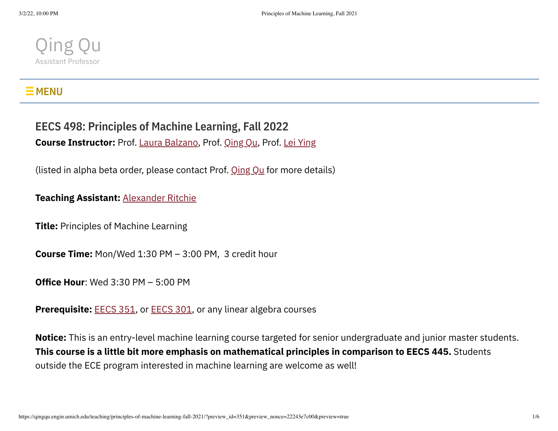

## $\mathsf{\Xi}$  MENU

# **EECS 498: Principles of Machine Learning, Fall 2022**

**Course Instructor:** Prof. Laura [Balzano](https://web.eecs.umich.edu/~girasole/), Prof. [Qing](https://qingqu.engin.umich.edu/) Qu, Prof. Lei [Ying](https://leiying.engin.umich.edu/)

(listed in alpha beta order, please contact Prof.  $Qing Qu$  $Qing Qu$  for more details)

#### **Teaching Assistant:** [Alexander](https://aritchie9590.github.io/) Ritchie

**Title:** Principles of Machine Learning

**Course Time:** Mon/Wed 1:30 PM – 3:00 PM, 3 credit hour

**Office Hour**: Wed 3:30 PM – 5:00 PM

**Prerequisite:** [EECS](https://ece.engin.umich.edu/academics/course-information/course-descriptions/eecs-301/) 351, or EECS 301, or any linear algebra courses

**Notice:** This is an entry-level machine learning course targeted for senior undergraduate and junior master students. **This course is a little bit more emphasis on mathematical principles in comparison to EECS 445.** Students outside the ECE program interested in machine learning are welcome as well!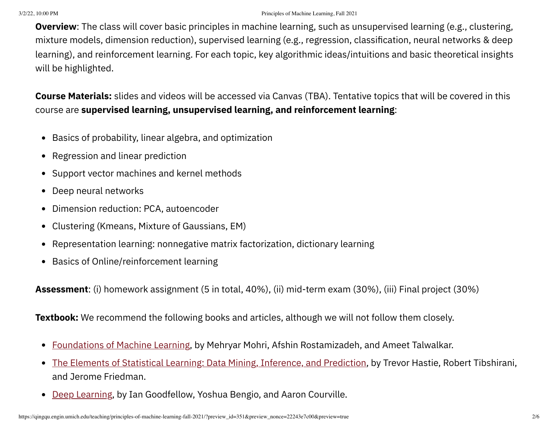#### 3/2/22, 10:00 PM Principles of Machine Learning, Fall 2021

**Overview**: The class will cover basic principles in machine learning, such as unsupervised learning (e.g., clustering, mixture models, dimension reduction), supervised learning (e.g., regression, classification, neural networks & deep learning), and reinforcement learning. For each topic, key algorithmic ideas/intuitions and basic theoretical insights will be highlighted.

**Course Materials:** slides and videos will be accessed via Canvas (TBA). Tentative topics that will be covered in this course are **supervised learning, unsupervised learning, and reinforcement learning**:

- Basics of probability, linear algebra, and optimization
- Regression and linear prediction  $\bullet$
- Support vector machines and kernel methods  $\bullet$
- Deep neural networks
- Dimension reduction: PCA, autoencoder  $\bullet$
- Clustering (Kmeans, Mixture of Gaussians, EM)  $\bullet$
- Representation learning: nonnegative matrix factorization, dictionary learning
- Basics of Online/reinforcement learning

**Assessment**: (i) homework assignment (5 in total, 40%), (ii) mid-term exam (30%), (iii) Final project (30%)

**Textbook:** We recommend the following books and articles, although we will not follow them closely.

- [Foundations](https://cs.nyu.edu/~mohri/mlbook/) of Machine Learning, by Mehryar Mohri, Afshin Rostamizadeh, and Ameet Talwalkar.  $\bullet$
- The Elements of Statistical Learning: Data Mining, [Inference,](https://web.stanford.edu/~hastie/ElemStatLearn/) and Prediction, by Trevor Hastie, Robert Tibshirani,  $\bullet$ and Jerome Friedman.
- Deep [Learning](https://www.deeplearningbook.org/), by Ian Goodfellow, Yoshua Bengio, and Aaron Courville.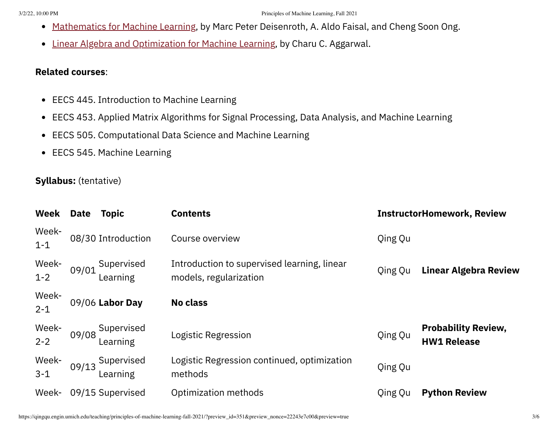- [Mathematics](https://mml-book.github.io/) for Machine Learning, by Marc Peter Deisenroth, A. Aldo Faisal, and Cheng Soon Ong.  $\bullet$
- Linear Algebra and [Optimization](https://rd.springer.com/book/10.1007/978-3-030-40344-7) for Machine Learning, by Charu C. Aggarwal.  $\bullet$

#### **Related courses**:

- EECS 445. Introduction to Machine Learning
- EECS 453. Applied Matrix Algorithms for Signal Processing, Data Analysis, and Machine Learning
- EECS 505. Computational Data Science and Machine Learning
- EECS 545. Machine Learning

### **Syllabus:** (tentative)

| Week             | <b>Date</b> | <b>Topic</b>                 | <b>Contents</b>                                                       |         | <b>InstructorHomework, Review</b>                |
|------------------|-------------|------------------------------|-----------------------------------------------------------------------|---------|--------------------------------------------------|
| Week-<br>$1 - 1$ |             | 08/30 Introduction           | Course overview                                                       | Qing Qu |                                                  |
| Week-<br>$1 - 2$ | 09/01       | Supervised<br>Learning       | Introduction to supervised learning, linear<br>models, regularization | Qing Qu | <b>Linear Algebra Review</b>                     |
| Week-<br>$2 - 1$ |             | 09/06 Labor Day              | <b>No class</b>                                                       |         |                                                  |
| Week-<br>$2 - 2$ |             | 09/08 Supervised<br>Learning | Logistic Regression                                                   | Qing Qu | <b>Probability Review,</b><br><b>HW1 Release</b> |
| Week-<br>$3 - 1$ | 09/13       | Supervised<br>Learning       | Logistic Regression continued, optimization<br>methods                | Qing Qu |                                                  |
| Week-            |             | 09/15 Supervised             | Optimization methods                                                  | Qing Qu | <b>Python Review</b>                             |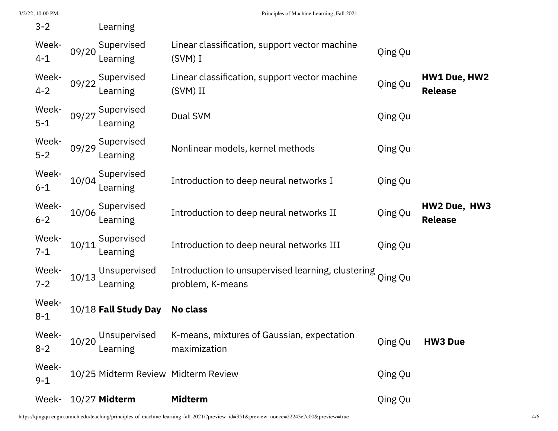| $3 - 2$          |       | Learning                            |                                                                               |         |                                |
|------------------|-------|-------------------------------------|-------------------------------------------------------------------------------|---------|--------------------------------|
| Week-<br>$4 - 1$ | 09/20 | Supervised<br>Learning              | Linear classification, support vector machine<br>$(SVM)$ I                    | Qing Qu |                                |
| Week-<br>$4 - 2$ | 09/22 | Supervised<br>Learning              | Linear classification, support vector machine<br>(SVM) II                     | Qing Qu | HW1 Due, HW2<br><b>Release</b> |
| Week-<br>$5 - 1$ | 09/27 | Supervised<br>Learning              | Dual SVM                                                                      | Qing Qu |                                |
| Week-<br>$5 - 2$ | 09/29 | Supervised<br>Learning              | Nonlinear models, kernel methods                                              | Qing Qu |                                |
| Week-<br>$6 - 1$ | 10/04 | Supervised<br>Learning              | Introduction to deep neural networks I                                        | Qing Qu |                                |
| Week-<br>$6 - 2$ | 10/06 | Supervised<br>Learning              | Introduction to deep neural networks II                                       | Qing Qu | HW2 Due, HW3<br><b>Release</b> |
| Week-<br>$7 - 1$ | 10/11 | Supervised<br>Learning              | Introduction to deep neural networks III                                      | Qing Qu |                                |
| Week-<br>$7 - 2$ | 10/13 | Unsupervised<br>Learning            | Introduction to unsupervised learning, clustering Qing Qu<br>problem, K-means |         |                                |
| Week-<br>$8 - 1$ |       | 10/18 Fall Study Day                | No class                                                                      |         |                                |
| Week-<br>$8 - 2$ |       | Unsupervised<br>10/20 Learning      | K-means, mixtures of Gaussian, expectation<br>maximization                    | Qing Qu | <b>HW3 Due</b>                 |
| Week-<br>$9 - 1$ |       | 10/25 Midterm Review Midterm Review |                                                                               | Qing Qu |                                |
| Week-            |       | 10/27 Midterm                       | <b>Midterm</b>                                                                | Qing Qu |                                |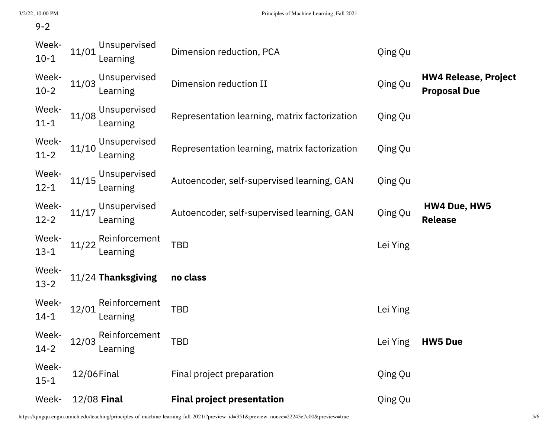#### 9-2

| Week-             | 12/08 Final                        | <b>Final project presentation</b>             | Qing Qu  |                                                    |
|-------------------|------------------------------------|-----------------------------------------------|----------|----------------------------------------------------|
| Week-<br>$15 - 1$ | 12/06 Final                        | Final project preparation                     | Qing Qu  |                                                    |
| Week-<br>$14 - 2$ | Reinforcement<br>12/03<br>Learning | <b>TBD</b>                                    | Lei Ying | <b>HW5 Due</b>                                     |
| Week-<br>$14 - 1$ | Reinforcement<br>12/01<br>Learning | <b>TBD</b>                                    | Lei Ying |                                                    |
| Week-<br>$13 - 2$ | 11/24 Thanksgiving                 | no class                                      |          |                                                    |
| Week-<br>$13 - 1$ | Reinforcement<br>11/22<br>Learning | <b>TBD</b>                                    | Lei Ying |                                                    |
| Week-<br>$12 - 2$ | Unsupervised<br>11/17<br>Learning  | Autoencoder, self-supervised learning, GAN    | Qing Qu  | <b>HW4 Due, HW5</b><br><b>Release</b>              |
| Week-<br>$12 - 1$ | Unsupervised<br>11/15<br>Learning  | Autoencoder, self-supervised learning, GAN    | Qing Qu  |                                                    |
| Week-<br>$11 - 2$ | Unsupervised<br>11/10<br>Learning  | Representation learning, matrix factorization | Qing Qu  |                                                    |
| Week-<br>$11 - 1$ | Unsupervised<br>11/08<br>Learning  | Representation learning, matrix factorization | Qing Qu  |                                                    |
| Week-<br>$10-2$   | Unsupervised<br>11/03<br>Learning  | Dimension reduction II                        | Qing Qu  | <b>HW4 Release, Project</b><br><b>Proposal Due</b> |
| Week-<br>$10 - 1$ | Unsupervised<br>11/01<br>Learning  | Dimension reduction, PCA                      | Qing Qu  |                                                    |

https://qingqu.engin.umich.edu/teaching/principles-of-machine-learning-fall-2021/?preview\_id=351&preview\_nonce=22243e7c00&preview=true 5/6